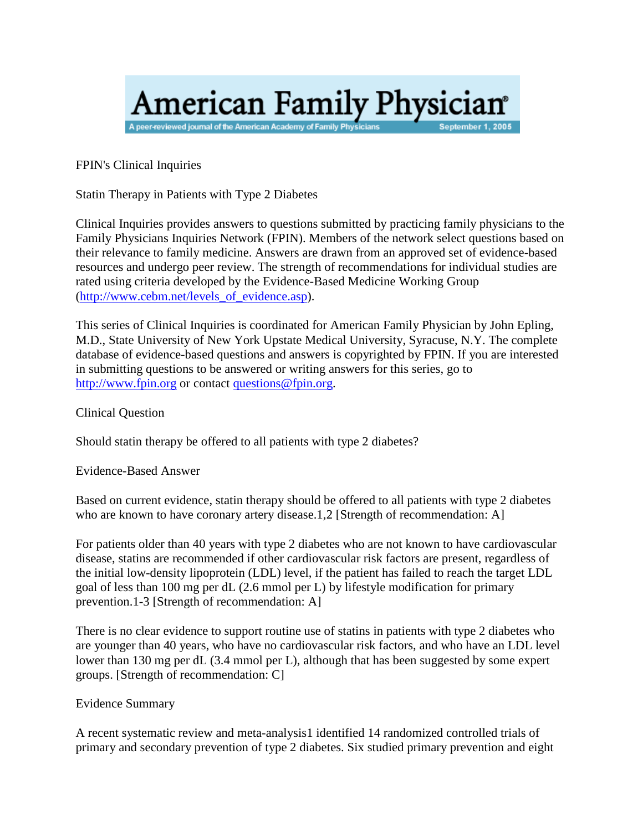# **American Family Physician**<sup>®</sup> A peer-reviewed journal of the American Academy of Family Physici September 1, 2005

FPIN's Clinical Inquiries

Statin Therapy in Patients with Type 2 Diabetes

Clinical Inquiries provides answers to questions submitted by practicing family physicians to the Family Physicians Inquiries Network (FPIN). Members of the network select questions based on their relevance to family medicine. Answers are drawn from an approved set of evidence-based resources and undergo peer review. The strength of recommendations for individual studies are rated using criteria developed by the Evidence-Based Medicine Working Group (http://www.cebm.net/levels of evidence.asp).

This series of Clinical Inquiries is coordinated for American Family Physician by John Epling, M.D., State University of New York Upstate Medical University, Syracuse, N.Y. The complete database of evidence-based questions and answers is copyrighted by FPIN. If you are interested in submitting questions to be answered or writing answers for this series, go to [http://www.fpin.org](http://www.fpin.org/) or contac[t questions@fpin.org.](mailto:questions@fpin.org)

Clinical Question

Should statin therapy be offered to all patients with type 2 diabetes?

Evidence-Based Answer

Based on current evidence, statin therapy should be offered to all patients with type 2 diabetes who are known to have coronary artery disease.1,2 [Strength of recommendation: A]

For patients older than 40 years with type 2 diabetes who are not known to have cardiovascular disease, statins are recommended if other cardiovascular risk factors are present, regardless of the initial low-density lipoprotein (LDL) level, if the patient has failed to reach the target LDL goal of less than 100 mg per dL (2.6 mmol per L) by lifestyle modification for primary prevention.1-3 [Strength of recommendation: A]

There is no clear evidence to support routine use of statins in patients with type 2 diabetes who are younger than 40 years, who have no cardiovascular risk factors, and who have an LDL level lower than 130 mg per dL (3.4 mmol per L), although that has been suggested by some expert groups. [Strength of recommendation: C]

#### Evidence Summary

A recent systematic review and meta-analysis1 identified 14 randomized controlled trials of primary and secondary prevention of type 2 diabetes. Six studied primary prevention and eight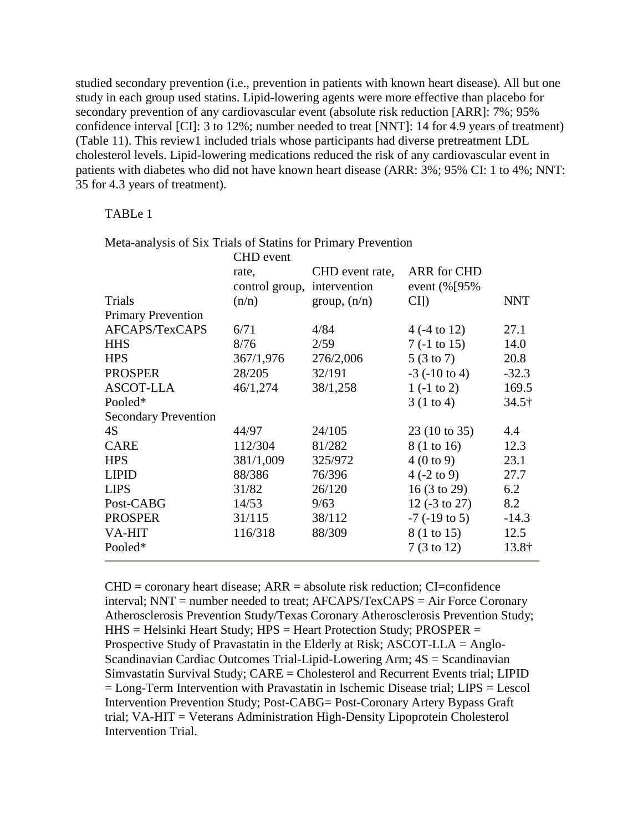studied secondary prevention (i.e., prevention in patients with known heart disease). All but one study in each group used statins. Lipid-lowering agents were more effective than placebo for secondary prevention of any cardiovascular event (absolute risk reduction [ARR]: 7%; 95% confidence interval [CI]: 3 to 12%; number needed to treat [NNT]: 14 for 4.9 years of treatment) (Table 11). This review1 included trials whose participants had diverse pretreatment LDL cholesterol levels. Lipid-lowering medications reduced the risk of any cardiovascular event in patients with diabetes who did not have known heart disease (ARR: 3%; 95% CI: 1 to 4%; NNT: 35 for 4.3 years of treatment).

#### TABLe 1

|                             | <b>CHD</b> event            |                 |                          |               |
|-----------------------------|-----------------------------|-----------------|--------------------------|---------------|
|                             | rate,                       | CHD event rate, | <b>ARR</b> for CHD       |               |
|                             | control group, intervention |                 | event (%[95%             |               |
| Trials                      | (n/n)                       | group, $(n/n)$  | $CI$ ]                   | <b>NNT</b>    |
| <b>Primary Prevention</b>   |                             |                 |                          |               |
| AFCAPS/TexCAPS              | 6/71                        | 4/84            | $4(.4 \text{ to } 12)$   | 27.1          |
| <b>HHS</b>                  | 8/76                        | 2/59            | $7(-1 \text{ to } 15)$   | 14.0          |
| <b>HPS</b>                  | 367/1,976                   | 276/2,006       | $5(3 \text{ to } 7)$     | 20.8          |
| <b>PROSPER</b>              | 28/205                      | 32/191          | $-3$ ( $-10$ to 4)       | $-32.3$       |
| <b>ASCOT-LLA</b>            | 46/1,274                    | 38/1,258        | $1(-1 \text{ to } 2)$    | 169.5         |
| Pooled*                     |                             |                 | 3(1 to 4)                | $34.5\dagger$ |
| <b>Secondary Prevention</b> |                             |                 |                          |               |
| 4S                          | 44/97                       | 24/105          | 23 (10 to 35)            | 4.4           |
| <b>CARE</b>                 | 112/304                     | 81/282          | 8 (1 to 16)              | 12.3          |
| <b>HPS</b>                  | 381/1,009                   | 325/972         | 4(0 to 9)                | 23.1          |
| <b>LIPID</b>                | 88/386                      | 76/396          | $4(-2 \text{ to } 9)$    | 27.7          |
| <b>LIPS</b>                 | 31/82                       | 26/120          | 16(3 to 29)              | 6.2           |
| Post-CABG                   | 14/53                       | 9/63            | 12 $(-3 \text{ to } 27)$ | 8.2           |
| <b>PROSPER</b>              | 31/115                      | 38/112          | $-7$ ( $-19$ to 5)       | $-14.3$       |
| VA-HIT                      | 116/318                     | 88/309          | 8 (1 to 15)              | 12.5          |
| Pooled*                     |                             |                 | $7(3 \text{ to } 12)$    | 13.8†         |

Meta-analysis of Six Trials of Statins for Primary Prevention

 $CHD =$  coronary heart disease;  $ARR =$  absolute risk reduction;  $CI =$  confidence interval; NNT = number needed to treat; AFCAPS/TexCAPS = Air Force Coronary Atherosclerosis Prevention Study/Texas Coronary Atherosclerosis Prevention Study; HHS = Helsinki Heart Study; HPS = Heart Protection Study; PROSPER = Prospective Study of Pravastatin in the Elderly at Risk; ASCOT-LLA = Anglo-Scandinavian Cardiac Outcomes Trial-Lipid-Lowering Arm; 4S = Scandinavian Simvastatin Survival Study; CARE = Cholesterol and Recurrent Events trial; LIPID = Long-Term Intervention with Pravastatin in Ischemic Disease trial; LIPS = Lescol Intervention Prevention Study; Post-CABG= Post-Coronary Artery Bypass Graft trial; VA-HIT = Veterans Administration High-Density Lipoprotein Cholesterol Intervention Trial.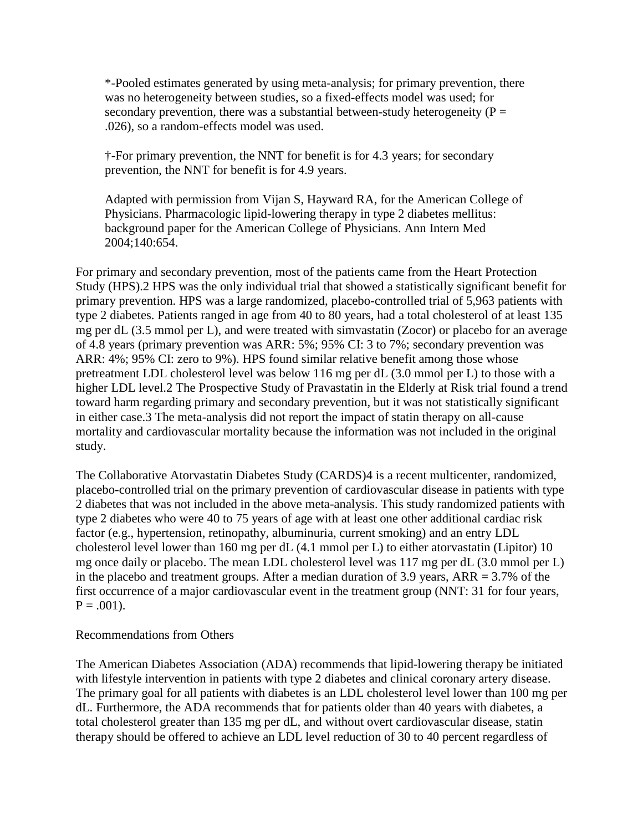\*-Pooled estimates generated by using meta-analysis; for primary prevention, there was no heterogeneity between studies, so a fixed-effects model was used; for secondary prevention, there was a substantial between-study heterogeneity ( $P =$ .026), so a random-effects model was used.

†-For primary prevention, the NNT for benefit is for 4.3 years; for secondary prevention, the NNT for benefit is for 4.9 years.

Adapted with permission from Vijan S, Hayward RA, for the American College of Physicians. Pharmacologic lipid-lowering therapy in type 2 diabetes mellitus: background paper for the American College of Physicians. Ann Intern Med 2004;140:654.

For primary and secondary prevention, most of the patients came from the Heart Protection Study (HPS).2 HPS was the only individual trial that showed a statistically significant benefit for primary prevention. HPS was a large randomized, placebo-controlled trial of 5,963 patients with type 2 diabetes. Patients ranged in age from 40 to 80 years, had a total cholesterol of at least 135 mg per dL (3.5 mmol per L), and were treated with simvastatin (Zocor) or placebo for an average of 4.8 years (primary prevention was ARR: 5%; 95% CI: 3 to 7%; secondary prevention was ARR: 4%; 95% CI: zero to 9%). HPS found similar relative benefit among those whose pretreatment LDL cholesterol level was below 116 mg per dL (3.0 mmol per L) to those with a higher LDL level.2 The Prospective Study of Pravastatin in the Elderly at Risk trial found a trend toward harm regarding primary and secondary prevention, but it was not statistically significant in either case.3 The meta-analysis did not report the impact of statin therapy on all-cause mortality and cardiovascular mortality because the information was not included in the original study.

The Collaborative Atorvastatin Diabetes Study (CARDS)4 is a recent multicenter, randomized, placebo-controlled trial on the primary prevention of cardiovascular disease in patients with type 2 diabetes that was not included in the above meta-analysis. This study randomized patients with type 2 diabetes who were 40 to 75 years of age with at least one other additional cardiac risk factor (e.g., hypertension, retinopathy, albuminuria, current smoking) and an entry LDL cholesterol level lower than 160 mg per dL (4.1 mmol per L) to either atorvastatin (Lipitor) 10 mg once daily or placebo. The mean LDL cholesterol level was 117 mg per dL (3.0 mmol per L) in the placebo and treatment groups. After a median duration of 3.9 years,  $ARR = 3.7\%$  of the first occurrence of a major cardiovascular event in the treatment group (NNT: 31 for four years,  $P = .001$ ).

#### Recommendations from Others

The American Diabetes Association (ADA) recommends that lipid-lowering therapy be initiated with lifestyle intervention in patients with type 2 diabetes and clinical coronary artery disease. The primary goal for all patients with diabetes is an LDL cholesterol level lower than 100 mg per dL. Furthermore, the ADA recommends that for patients older than 40 years with diabetes, a total cholesterol greater than 135 mg per dL, and without overt cardiovascular disease, statin therapy should be offered to achieve an LDL level reduction of 30 to 40 percent regardless of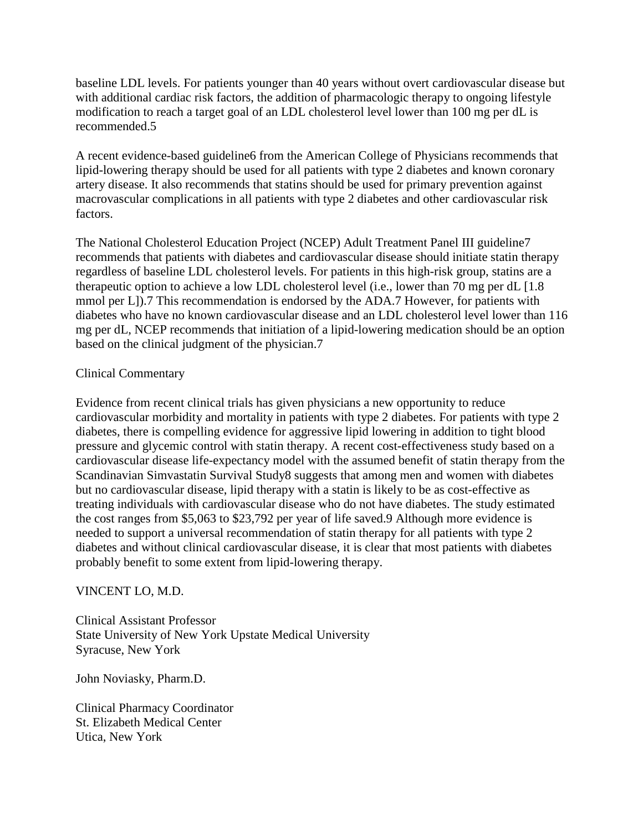baseline LDL levels. For patients younger than 40 years without overt cardiovascular disease but with additional cardiac risk factors, the addition of pharmacologic therapy to ongoing lifestyle modification to reach a target goal of an LDL cholesterol level lower than 100 mg per dL is recommended.5

A recent evidence-based guideline6 from the American College of Physicians recommends that lipid-lowering therapy should be used for all patients with type 2 diabetes and known coronary artery disease. It also recommends that statins should be used for primary prevention against macrovascular complications in all patients with type 2 diabetes and other cardiovascular risk factors.

The National Cholesterol Education Project (NCEP) Adult Treatment Panel III guideline7 recommends that patients with diabetes and cardiovascular disease should initiate statin therapy regardless of baseline LDL cholesterol levels. For patients in this high-risk group, statins are a therapeutic option to achieve a low LDL cholesterol level (i.e., lower than 70 mg per dL [1.8 mmol per L]).7 This recommendation is endorsed by the ADA.7 However, for patients with diabetes who have no known cardiovascular disease and an LDL cholesterol level lower than 116 mg per dL, NCEP recommends that initiation of a lipid-lowering medication should be an option based on the clinical judgment of the physician.7

# Clinical Commentary

Evidence from recent clinical trials has given physicians a new opportunity to reduce cardiovascular morbidity and mortality in patients with type 2 diabetes. For patients with type 2 diabetes, there is compelling evidence for aggressive lipid lowering in addition to tight blood pressure and glycemic control with statin therapy. A recent cost-effectiveness study based on a cardiovascular disease life-expectancy model with the assumed benefit of statin therapy from the Scandinavian Simvastatin Survival Study8 suggests that among men and women with diabetes but no cardiovascular disease, lipid therapy with a statin is likely to be as cost-effective as treating individuals with cardiovascular disease who do not have diabetes. The study estimated the cost ranges from \$5,063 to \$23,792 per year of life saved.9 Although more evidence is needed to support a universal recommendation of statin therapy for all patients with type 2 diabetes and without clinical cardiovascular disease, it is clear that most patients with diabetes probably benefit to some extent from lipid-lowering therapy.

# VINCENT LO, M.D.

Clinical Assistant Professor State University of New York Upstate Medical University Syracuse, New York

John Noviasky, Pharm.D.

Clinical Pharmacy Coordinator St. Elizabeth Medical Center Utica, New York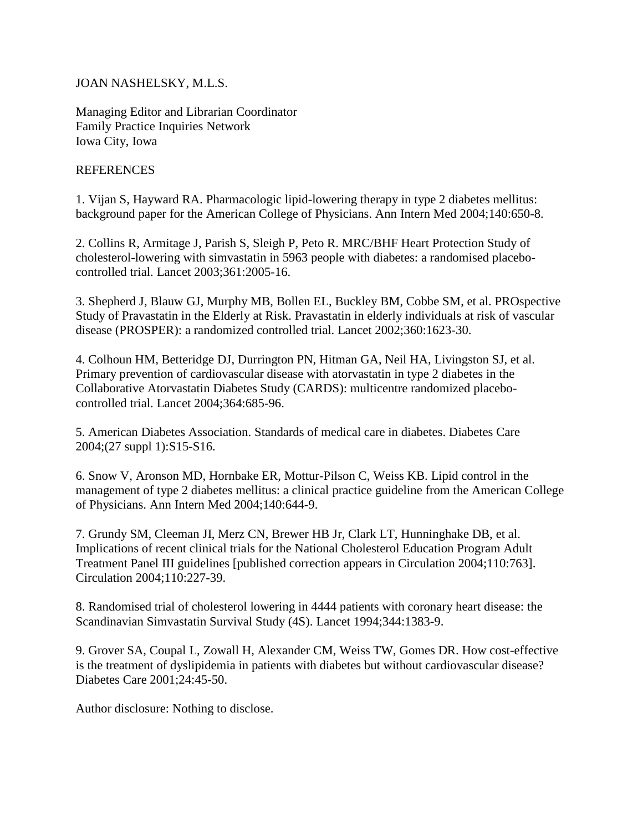# JOAN NASHELSKY, M.L.S.

Managing Editor and Librarian Coordinator Family Practice Inquiries Network Iowa City, Iowa

## REFERENCES

1. Vijan S, Hayward RA. Pharmacologic lipid-lowering therapy in type 2 diabetes mellitus: background paper for the American College of Physicians. Ann Intern Med 2004;140:650-8.

2. Collins R, Armitage J, Parish S, Sleigh P, Peto R. MRC/BHF Heart Protection Study of cholesterol-lowering with simvastatin in 5963 people with diabetes: a randomised placebocontrolled trial. Lancet 2003;361:2005-16.

3. Shepherd J, Blauw GJ, Murphy MB, Bollen EL, Buckley BM, Cobbe SM, et al. PROspective Study of Pravastatin in the Elderly at Risk. Pravastatin in elderly individuals at risk of vascular disease (PROSPER): a randomized controlled trial. Lancet 2002;360:1623-30.

4. Colhoun HM, Betteridge DJ, Durrington PN, Hitman GA, Neil HA, Livingston SJ, et al. Primary prevention of cardiovascular disease with atorvastatin in type 2 diabetes in the Collaborative Atorvastatin Diabetes Study (CARDS): multicentre randomized placebocontrolled trial. Lancet 2004;364:685-96.

5. American Diabetes Association. Standards of medical care in diabetes. Diabetes Care 2004;(27 suppl 1):S15-S16.

6. Snow V, Aronson MD, Hornbake ER, Mottur-Pilson C, Weiss KB. Lipid control in the management of type 2 diabetes mellitus: a clinical practice guideline from the American College of Physicians. Ann Intern Med 2004;140:644-9.

7. Grundy SM, Cleeman JI, Merz CN, Brewer HB Jr, Clark LT, Hunninghake DB, et al. Implications of recent clinical trials for the National Cholesterol Education Program Adult Treatment Panel III guidelines [published correction appears in Circulation 2004;110:763]. Circulation 2004;110:227-39.

8. Randomised trial of cholesterol lowering in 4444 patients with coronary heart disease: the Scandinavian Simvastatin Survival Study (4S). Lancet 1994;344:1383-9.

9. Grover SA, Coupal L, Zowall H, Alexander CM, Weiss TW, Gomes DR. How cost-effective is the treatment of dyslipidemia in patients with diabetes but without cardiovascular disease? Diabetes Care 2001;24:45-50.

Author disclosure: Nothing to disclose.